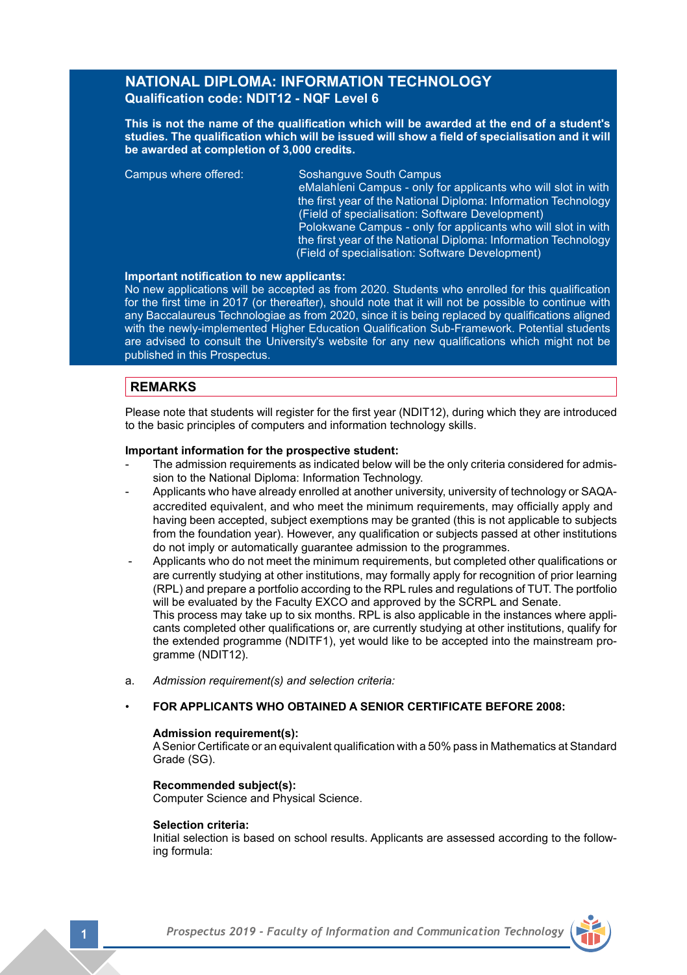# **NATIONAL DIPLOMA: INFORMATION TECHNOLOGY Qualification code: NDIT12 - NQF Level 6**

**This is not the name of the qualification which will be awarded at the end of a student's studies. The qualification which will be issued will show a field of specialisation and it will be awarded at completion of 3,000 credits.**

Campus where offered: Soshanguve South Campus

eMalahleni Campus - only for applicants who will slot in with the first year of the National Diploma: Information Technology (Field of specialisation: Software Development) Polokwane Campus - only for applicants who will slot in with the first year of the National Diploma: Information Technology

(Field of specialisation: Software Development)

#### **Important notification to new applicants:**

No new applications will be accepted as from 2020. Students who enrolled for this qualification for the first time in 2017 (or thereafter), should note that it will not be possible to continue with any Baccalaureus Technologiae as from 2020, since it is being replaced by qualifications aligned with the newly-implemented Higher Education Qualification Sub-Framework. Potential students are advised to consult the University's website for any new qualifications which might not be published in this Prospectus.

# **REMARKS**

Please note that students will register for the first year (NDIT12), during which they are introduced to the basic principles of computers and information technology skills.

### **Important information for the prospective student:**

- The admission requirements as indicated below will be the only criteria considered for admission to the National Diploma: Information Technology.
- Applicants who have already enrolled at another university, university of technology or SAQAaccredited equivalent, and who meet the minimum requirements, may officially apply and having been accepted, subject exemptions may be granted (this is not applicable to subjects from the foundation year). However, any qualification or subjects passed at other institutions do not imply or automatically guarantee admission to the programmes.
- Applicants who do not meet the minimum requirements, but completed other qualifications or are currently studying at other institutions, may formally apply for recognition of prior learning (RPL) and prepare a portfolio according to the RPL rules and regulations of TUT. The portfolio will be evaluated by the Faculty EXCO and approved by the SCRPL and Senate. This process may take up to six months. RPL is also applicable in the instances where appli cants completed other qualifications or, are currently studying at other institutions, qualify for the extended programme (NDITF1), yet would like to be accepted into the mainstream pro gramme (NDIT<sub>12</sub>).
- a. *Admission requirement(s) and selection criteria:*

#### • **FOR APPLICANTS WHO OBTAINED A SENIOR CERTIFICATE BEFORE 2008:**

# **Admission requirement(s):**

A Senior Certificate or an equivalent qualification with a 50% pass in Mathematics at Standard Grade (SG).

# **Recommended subject(s):**

Computer Science and Physical Science.

#### **Selection criteria:**

Initial selection is based on school results. Applicants are assessed according to the following formula: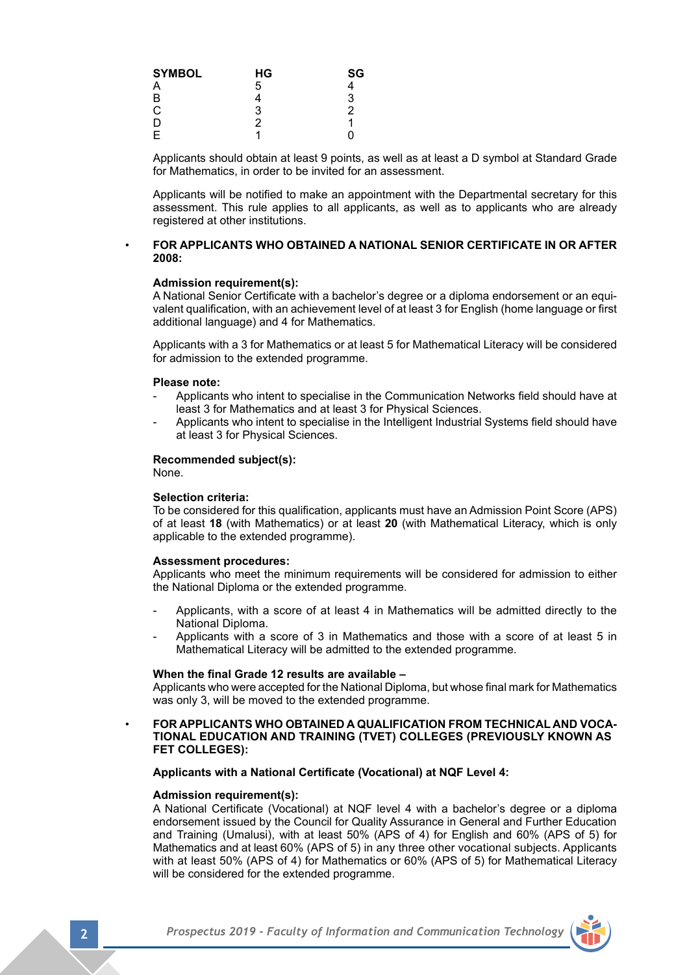| <b>SYMBOL</b> | НG | SG |
|---------------|----|----|
| Α             | 5  | 4  |
| B<br>C        |    | 3  |
|               | 3  | 2  |
| D             | 2  |    |
| F             |    | Ω  |

Applicants should obtain at least 9 points, as well as at least a D symbol at Standard Grade for Mathematics, in order to be invited for an assessment.

Applicants will be notified to make an appointment with the Departmental secretary for this assessment. This rule applies to all applicants, as well as to applicants who are already registered at other institutions.

#### • **FOR APPLICANTS WHO OBTAINED A NATIONAL SENIOR CERTIFICATE IN OR AFTER 2008:**

#### **Admission requirement(s):**

A National Senior Certificate with a bachelor's degree or a diploma endorsement or an equivalent qualification, with an achievement level of at least 3 for English (home language or first additional language) and 4 for Mathematics.

Applicants with a 3 for Mathematics or at least 5 for Mathematical Literacy will be considered for admission to the extended programme.

#### **Please note:**

- Applicants who intent to specialise in the Communication Networks field should have at least 3 for Mathematics and at least 3 for Physical Sciences.
- Applicants who intent to specialise in the Intelligent Industrial Systems field should have at least 3 for Physical Sciences.

#### **Recommended subject(s):**

None.

#### **Selection criteria:**

To be considered for this qualification, applicants must have an Admission Point Score (APS) of at least **18** (with Mathematics) or at least **20** (with Mathematical Literacy, which is only applicable to the extended programme).

#### **Assessment procedures:**

Applicants who meet the minimum requirements will be considered for admission to either the National Diploma or the extended programme.

- Applicants, with a score of at least 4 in Mathematics will be admitted directly to the National Diploma.
- Applicants with a score of 3 in Mathematics and those with a score of at least 5 in Mathematical Literacy will be admitted to the extended programme.

#### **When the final Grade 12 results are available –**

Applicants who were accepted for the National Diploma, but whose final mark for Mathematics was only 3, will be moved to the extended programme.

• **FOR APPLICANTS WHO OBTAINED A QUALIFICATION FROM TECHNICAL AND VOCA- TIONAL EDUCATION AND TRAINING (TVET) COLLEGES (PREVIOUSLY KNOWN AS FET COLLEGES):**

### **Applicants with a National Certificate (Vocational) at NQF Level 4:**

#### **Admission requirement(s):**

A National Certificate (Vocational) at NQF level 4 with a bachelor's degree or a diploma endorsement issued by the Council for Quality Assurance in General and Further Education and Training (Umalusi), with at least 50% (APS of 4) for English and 60% (APS of 5) for Mathematics and at least 60% (APS of 5) in any three other vocational subjects. Applicants with at least 50% (APS of 4) for Mathematics or 60% (APS of 5) for Mathematical Literacy will be considered for the extended programme.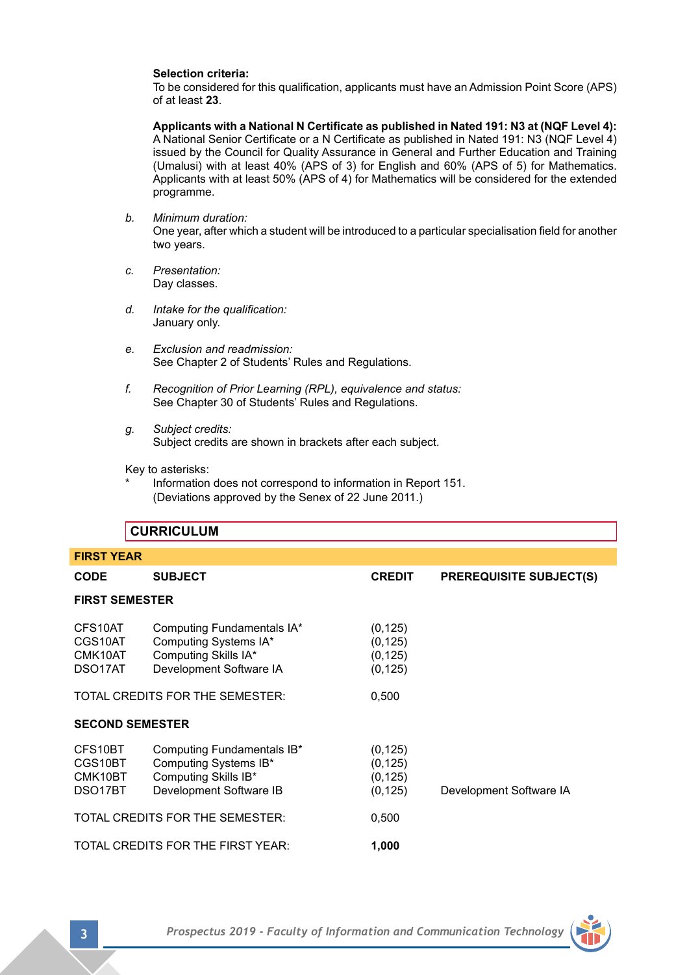# **Selection criteria:**

To be considered for this qualification, applicants must have an Admission Point Score (APS) of at least **23**.

 **Applicants with a National N Certificate as published in Nated 191: N3 at (NQF Level 4):** A National Senior Certificate or a N Certificate as published in Nated 191: N3 (NQF Level 4) issued by the Council for Quality Assurance in General and Further Education and Training (Umalusi) with at least 40% (APS of 3) for English and 60% (APS of 5) for Mathematics. Applicants with at least 50% (APS of 4) for Mathematics will be considered for the extended programme.

- *b. Minimum duration:* One year, after which a student will be introduced to a particular specialisation field for another two years.
- *c. Presentation:*  Day classes.
- *d. Intake for the qualification:* January only.
- *e. Exclusion and readmission:* See Chapter 2 of Students' Rules and Regulations.
- *f. Recognition of Prior Learning (RPL), equivalence and status:* See Chapter 30 of Students' Rules and Regulations.
- *g. Subject credits:* Subject credits are shown in brackets after each subject.

Key to asterisks:

Information does not correspond to information in Report 151. (Deviations approved by the Senex of 22 June 2011.)

|                                          | <b>CURRICULUM</b>                                                                                      |                                              |                                |  |
|------------------------------------------|--------------------------------------------------------------------------------------------------------|----------------------------------------------|--------------------------------|--|
| <b>FIRST YEAR</b>                        |                                                                                                        |                                              |                                |  |
| <b>CODE</b>                              | <b>SUBJECT</b>                                                                                         | <b>CREDIT</b>                                | <b>PREREQUISITE SUBJECT(S)</b> |  |
| <b>FIRST SEMESTER</b>                    |                                                                                                        |                                              |                                |  |
| CFS10AT<br>CGS10AT<br>CMK10AT<br>DSO17AT | Computing Fundamentals IA*<br>Computing Systems IA*<br>Computing Skills IA*<br>Development Software IA | (0, 125)<br>(0, 125)<br>(0, 125)<br>(0, 125) |                                |  |
|                                          | TOTAL CREDITS FOR THE SEMESTER:                                                                        | 0,500                                        |                                |  |
| <b>SECOND SEMESTER</b>                   |                                                                                                        |                                              |                                |  |
| CFS10BT<br>CGS10BT<br>CMK10BT<br>DSO17BT | Computing Fundamentals IB*<br>Computing Systems IB*<br>Computing Skills IB*<br>Development Software IB | (0, 125)<br>(0, 125)<br>(0, 125)<br>(0, 125) | Development Software IA        |  |
|                                          | TOTAL CREDITS FOR THE SEMESTER:                                                                        | 0,500                                        |                                |  |
|                                          | TOTAL CREDITS FOR THE FIRST YEAR:                                                                      | 1,000                                        |                                |  |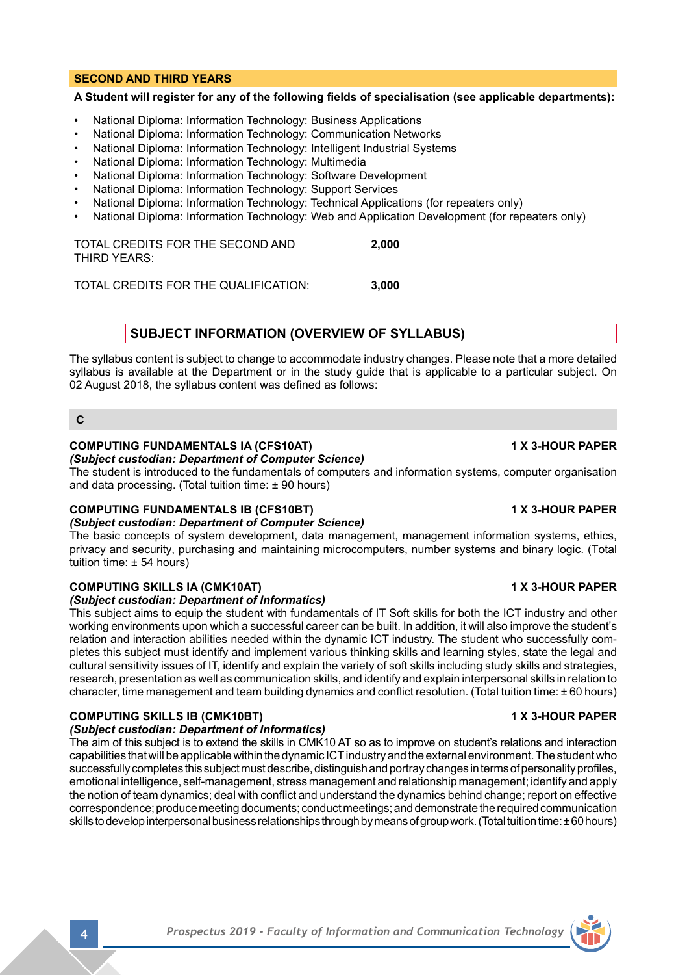### **SECOND AND THIRD YEARS**

# **A Student will register for any of the following fields of specialisation (see applicable departments):**

- National Diploma: Information Technology: Business Applications
- National Diploma: Information Technology: Communication Networks
- National Diploma: Information Technology: Intelligent Industrial Systems
- National Diploma: Information Technology: Multimedia
- National Diploma: Information Technology: Software Development
- National Diploma: Information Technology: Support Services
- National Diploma: Information Technology: Technical Applications (for repeaters only)
- National Diploma: Information Technology: Web and Application Development (for repeaters only)

TOTAL CREDITS FOR THE SECOND AND **2,000** THIRD YEARS:

TOTAL CREDITS FOR THE QUALIFICATION: **3,000**

# **SUBJECT INFORMATION (OVERVIEW OF SYLLABUS)**

The syllabus content is subject to change to accommodate industry changes. Please note that a more detailed syllabus is available at the Department or in the study guide that is applicable to a particular subject. On 02 August 2018, the syllabus content was defined as follows:

**C**

## **COMPUTING FUNDAMENTALS IA (CFS10AT) 1 X 3-HOUR PAPER**

#### *(Subject custodian: Department of Computer Science)*

The student is introduced to the fundamentals of computers and information systems, computer organisation and data processing. (Total tuition time: ± 90 hours)

# **COMPUTING FUNDAMENTALS IB (CFS10BT) 1 X 3-HOUR PAPER**

*(Subject custodian: Department of Computer Science)*

The basic concepts of system development, data management, management information systems, ethics, privacy and security, purchasing and maintaining microcomputers, number systems and binary logic. (Total tuition time: ± 54 hours)

# **COMPUTING SKILLS IA (CMK10AT) 1 X 3-HOUR PAPER**

*(Subject custodian: Department of Informatics)*

This subject aims to equip the student with fundamentals of IT Soft skills for both the ICT industry and other working environments upon which a successful career can be built. In addition, it will also improve the student's relation and interaction abilities needed within the dynamic ICT industry. The student who successfully completes this subject must identify and implement various thinking skills and learning styles, state the legal and cultural sensitivity issues of IT, identify and explain the variety of soft skills including study skills and strategies, research, presentation as well as communication skills, and identify and explain interpersonal skills in relation to character, time management and team building dynamics and conflict resolution. (Total tuition time: ± 60 hours)

# **COMPUTING SKILLS IB (CMK10BT) 1 X 3-HOUR PAPER**

# *(Subject custodian: Department of Informatics)*

The aim of this subject is to extend the skills in CMK10 AT so as to improve on student's relations and interaction capabilities that will be applicable within the dynamic ICT industry and the external environment. The student who successfully completes this subject must describe, distinguish and portray changes in terms of personality profiles, emotional intelligence, self-management, stress management and relationship management; identify and apply the notion of team dynamics; deal with conflict and understand the dynamics behind change; report on effective correspondence; produce meeting documents; conduct meetings; and demonstrate the required communication skills to develop interpersonal business relationships through by means of group work. (Total tuition time: ± 60 hours)